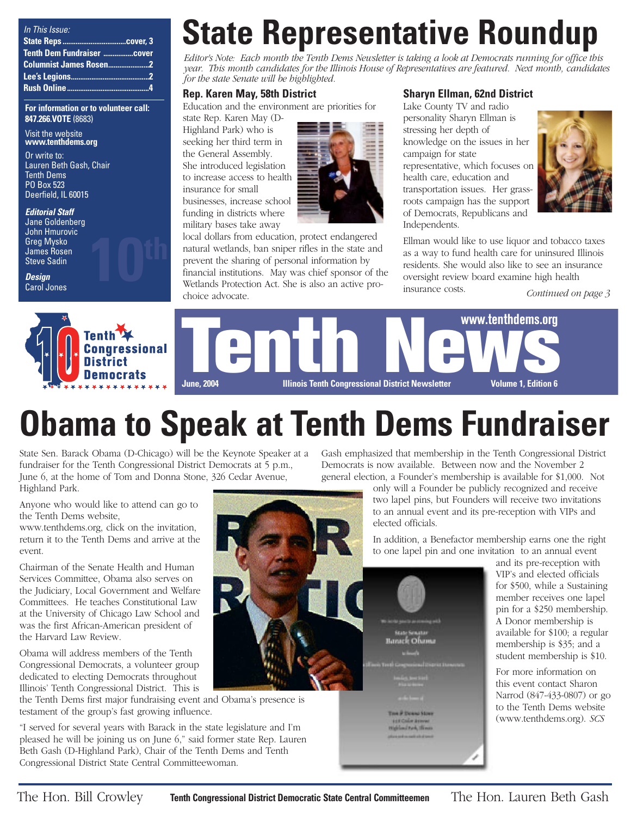| In This Issue:                |  |
|-------------------------------|--|
|                               |  |
| Tenth Dem Fundraiser Cover    |  |
| <b>Columnist James Rosen2</b> |  |
|                               |  |
|                               |  |

**For information or to volunteer call: 847.266.VOTE** (8683)

#### Visit the website **www.tenthdems.org**

Or write to: Lauren Beth Gash, Chair Tenth Dems PO Box 523 Deerfield, IL 60015

### **Editorial Staff** Jane Goldenberg

John Hmurovic Greg Mysko James Rosen Steve Sadin

**Design** Carol Jones



# **State Representative Roundup**

*Editor's Note: Each month the Tenth Dems Newsletter is taking a look at Democrats running for office this year. This month candidates for the Illinois House of Representatives are featured. Next month, candidates for the state Senate will be highlighted.*

# **Rep. Karen May, 58th District**

Education and the environment are priorities for

state Rep. Karen May (D-Highland Park) who is seeking her third term in the General Assembly. She introduced legislation to increase access to health insurance for small businesses, increase school funding in districts where military bases take away



local dollars from education, protect endangered natural wetlands, ban sniper rifles in the state and prevent the sharing of personal information by financial institutions. May was chief sponsor of the Wetlands Protection Act. She is also an active prochoice advocate.

# **Sharyn Ellman, 62nd District**

Lake County TV and radio personality Sharyn Ellman is stressing her depth of knowledge on the issues in her campaign for state representative, which focuses on health care, education and transportation issues. Her grassroots campaign has the support of Democrats, Republicans and Independents.



Ellman would like to use liquor and tobacco taxes as a way to fund health care for uninsured Illinois residents. She would also like to see an insurance oversight review board examine high health insurance costs.

*Continued on page 3*





# **Obama to Speak at Tenth Dems Fundraiser**

State Sen. Barack Obama (D-Chicago) will be the Keynote Speaker at a fundraiser for the Tenth Congressional District Democrats at 5 p.m., June 6, at the home of Tom and Donna Stone, 326 Cedar Avenue, Highland Park.

Anyone who would like to attend can go to the Tenth Dems website,

www.tenthdems.org, click on the invitation, return it to the Tenth Dems and arrive at the event.

Chairman of the Senate Health and Human Services Committee, Obama also serves on the Judiciary, Local Government and Welfare Committees. He teaches Constitutional Law at the University of Chicago Law School and was the first African-American president of the Harvard Law Review.

Obama will address members of the Tenth Congressional Democrats, a volunteer group dedicated to electing Democrats throughout Illinois' Tenth Congressional District. This is

the Tenth Dems first major fundraising event and Obama's presence is testament of the group's fast growing influence.

"I served for several years with Barack in the state legislature and I'm pleased he will be joining us on June 6," said former state Rep. Lauren Beth Gash (D-Highland Park), Chair of the Tenth Dems and Tenth Congressional District State Central Committeewoman.

Gash emphasized that membership in the Tenth Congressional District Democrats is now available. Between now and the November 2 general election, a Founder's membership is available for \$1,000. Not

> only will a Founder be publicly recognized and receive two lapel pins, but Founders will receive two invitations to an annual event and its pre-reception with VIPs and elected officials.

In addition, a Benefactor membership earns one the right to one lapel pin and one invitation to an annual event

> and its pre-reception with VIP's and elected officials for \$500, while a Sustaining member receives one lapel pin for a \$250 membership. A Donor membership is available for \$100; a regular membership is \$35; and a student membership is \$10.

For more information on this event contact Sharon Narrod (847-433-0807) or go to the Tenth Dems website (www.tenthdems.org). *SCS*



Halifand Park, Himmy

The Hon. Bill Crowley **Tenth Congressional District Democratic State Central Committeemen** The Hon. Lauren Beth Gash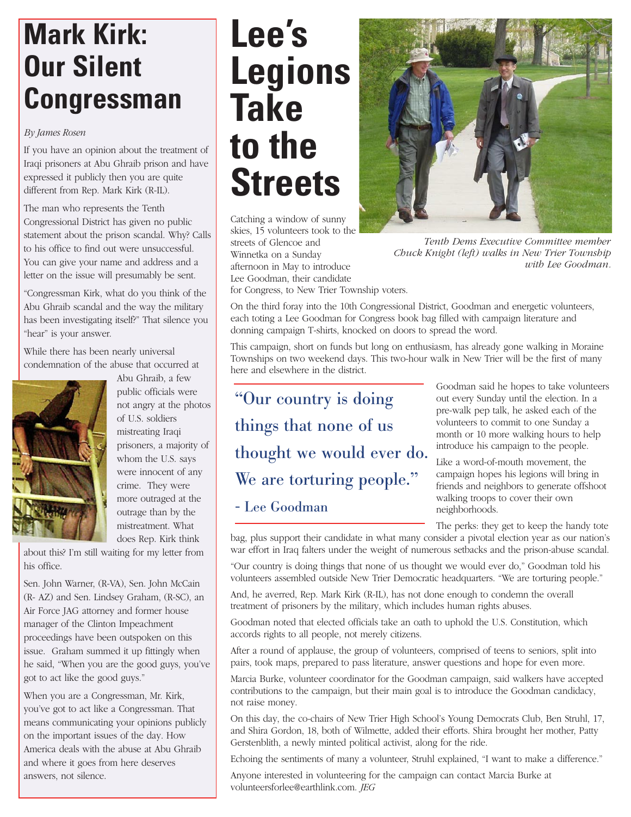# **Mark Kirk: Our Silent Congressman**

### *By James Rosen*

If you have an opinion about the treatment of Iraqi prisoners at Abu Ghraib prison and have expressed it publicly then you are quite different from Rep. Mark Kirk (R-IL).

The man who represents the Tenth Congressional District has given no public statement about the prison scandal. Why? Calls to his office to find out were unsuccessful. You can give your name and address and a letter on the issue will presumably be sent.

"Congressman Kirk, what do you think of the Abu Ghraib scandal and the way the military has been investigating itself?" That silence you "hear" is your answer.

While there has been nearly universal condemnation of the abuse that occurred at



Abu Ghraib, a few public officials were not angry at the photos of U.S. soldiers mistreating Iraqi prisoners, a majority of whom the U.S. says were innocent of any crime. They were more outraged at the outrage than by the mistreatment. What does Rep. Kirk think

about this? I'm still waiting for my letter from his office.

Sen. John Warner, (R-VA), Sen. John McCain (R- AZ) and Sen. Lindsey Graham, (R-SC), an Air Force JAG attorney and former house manager of the Clinton Impeachment proceedings have been outspoken on this issue. Graham summed it up fittingly when he said, "When you are the good guys, you've got to act like the good guys."

When you are a Congressman, Mr. Kirk, you've got to act like a Congressman. That means communicating your opinions publicly on the important issues of the day. How America deals with the abuse at Abu Ghraib and where it goes from here deserves answers, not silence.

# **Lee's Legions Take to the Streets**

Catching a window of sunny skies, 15 volunteers took to the streets of Glencoe and Winnetka on a Sunday afternoon in May to introduce Lee Goodman, their candidate for Congress, to New Trier Township voters.



*Tenth Dems Executive Committee member Chuck Knight (left) walks in New Trier Township with Lee Goodman.*

On the third foray into the 10th Congressional District, Goodman and energetic volunteers, each toting a Lee Goodman for Congress book bag filled with campaign literature and donning campaign T-shirts, knocked on doors to spread the word.

This campaign, short on funds but long on enthusiasm, has already gone walking in Moraine Townships on two weekend days. This two-hour walk in New Trier will be the first of many here and elsewhere in the district.

"Our country is doing things that none of us thought we would ever do. We are torturing people."

# - Lee Goodman

Goodman said he hopes to take volunteers out every Sunday until the election. In a pre-walk pep talk, he asked each of the volunteers to commit to one Sunday a month or 10 more walking hours to help introduce his campaign to the people.

Like a word-of-mouth movement, the campaign hopes his legions will bring in friends and neighbors to generate offshoot walking troops to cover their own neighborhoods.

The perks: they get to keep the handy tote

bag, plus support their candidate in what many consider a pivotal election year as our nation's war effort in Iraq falters under the weight of numerous setbacks and the prison-abuse scandal.

"Our country is doing things that none of us thought we would ever do," Goodman told his volunteers assembled outside New Trier Democratic headquarters. "We are torturing people."

And, he averred, Rep. Mark Kirk (R-IL), has not done enough to condemn the overall treatment of prisoners by the military, which includes human rights abuses.

Goodman noted that elected officials take an oath to uphold the U.S. Constitution, which accords rights to all people, not merely citizens.

After a round of applause, the group of volunteers, comprised of teens to seniors, split into pairs, took maps, prepared to pass literature, answer questions and hope for even more.

Marcia Burke, volunteer coordinator for the Goodman campaign, said walkers have accepted contributions to the campaign, but their main goal is to introduce the Goodman candidacy, not raise money.

On this day, the co-chairs of New Trier High School's Young Democrats Club, Ben Struhl, 17, and Shira Gordon, 18, both of Wilmette, added their efforts. Shira brought her mother, Patty Gerstenblith, a newly minted political activist, along for the ride.

Echoing the sentiments of many a volunteer, Struhl explained, "I want to make a difference."

Anyone interested in volunteering for the campaign can contact Marcia Burke at volunteersforlee@earthlink.com. *JEG*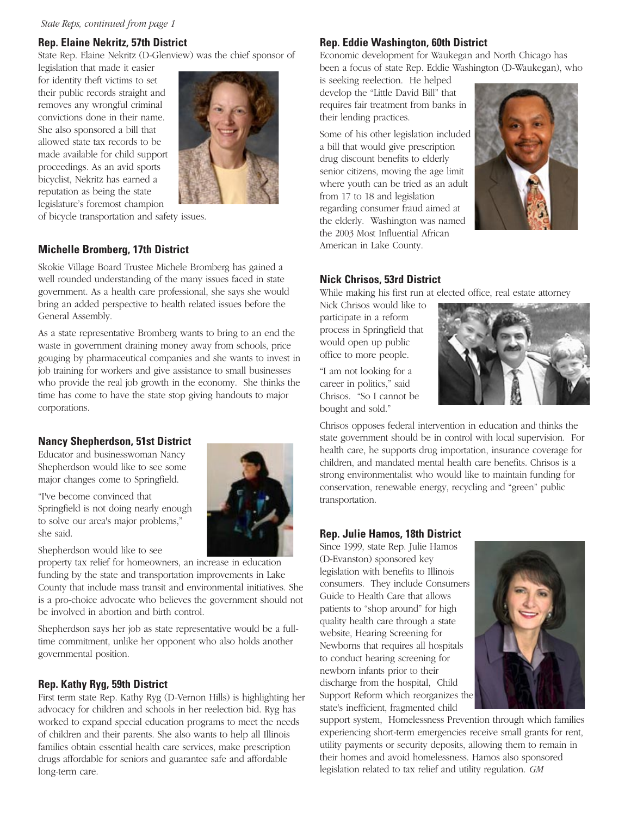# **Rep. Elaine Nekritz, 57th District**

State Rep. Elaine Nekritz (D-Glenview) was the chief sponsor of

legislation that made it easier for identity theft victims to set their public records straight and removes any wrongful criminal convictions done in their name. She also sponsored a bill that allowed state tax records to be made available for child support proceedings. As an avid sports bicyclist, Nekritz has earned a reputation as being the state legislature's foremost champion



of bicycle transportation and safety issues.

### **Michelle Bromberg, 17th District**

Skokie Village Board Trustee Michele Bromberg has gained a well rounded understanding of the many issues faced in state government. As a health care professional, she says she would bring an added perspective to health related issues before the General Assembly.

As a state representative Bromberg wants to bring to an end the waste in government draining money away from schools, price gouging by pharmaceutical companies and she wants to invest in job training for workers and give assistance to small businesses who provide the real job growth in the economy. She thinks the time has come to have the state stop giving handouts to major corporations.

## **Nancy Shepherdson, 51st District**

Educator and businesswoman Nancy Shepherdson would like to see some major changes come to Springfield.

"I've become convinced that Springfield is not doing nearly enough to solve our area's major problems," she said.

Shepherdson would like to see

property tax relief for homeowners, an increase in education funding by the state and transportation improvements in Lake County that include mass transit and environmental initiatives. She is a pro-choice advocate who believes the government should not be involved in abortion and birth control.

Shepherdson says her job as state representative would be a fulltime commitment, unlike her opponent who also holds another governmental position.

## **Rep. Kathy Ryg, 59th District**

First term state Rep. Kathy Ryg (D-Vernon Hills) is highlighting her advocacy for children and schools in her reelection bid. Ryg has worked to expand special education programs to meet the needs of children and their parents. She also wants to help all Illinois families obtain essential health care services, make prescription drugs affordable for seniors and guarantee safe and affordable long-term care.

# **Rep. Eddie Washington, 60th District**

Economic development for Waukegan and North Chicago has been a focus of state Rep. Eddie Washington (D-Waukegan), who

is seeking reelection. He helped develop the "Little David Bill" that requires fair treatment from banks in their lending practices.

Some of his other legislation included a bill that would give prescription drug discount benefits to elderly senior citizens, moving the age limit where youth can be tried as an adult from 17 to 18 and legislation regarding consumer fraud aimed at the elderly. Washington was named the 2003 Most Influential African American in Lake County.



## **Nick Chrisos, 53rd District**

While making his first run at elected office, real estate attorney

Nick Chrisos would like to participate in a reform process in Springfield that would open up public office to more people.

"I am not looking for a career in politics," said Chrisos. "So I cannot be bought and sold."



Chrisos opposes federal intervention in education and thinks the state government should be in control with local supervision. For health care, he supports drug importation, insurance coverage for children, and mandated mental health care benefits. Chrisos is a strong environmentalist who would like to maintain funding for conservation, renewable energy, recycling and "green" public transportation.

## **Rep. Julie Hamos, 18th District**

Since 1999, state Rep. Julie Hamos (D-Evanston) sponsored key legislation with benefits to Illinois consumers. They include Consumers Guide to Health Care that allows patients to "shop around" for high quality health care through a state website, Hearing Screening for Newborns that requires all hospitals to conduct hearing screening for newborn infants prior to their discharge from the hospital, Child Support Reform which reorganizes the state's inefficient, fragmented child



support system, Homelessness Prevention through which families experiencing short-term emergencies receive small grants for rent, utility payments or security deposits, allowing them to remain in their homes and avoid homelessness. Hamos also sponsored legislation related to tax relief and utility regulation. *GM*